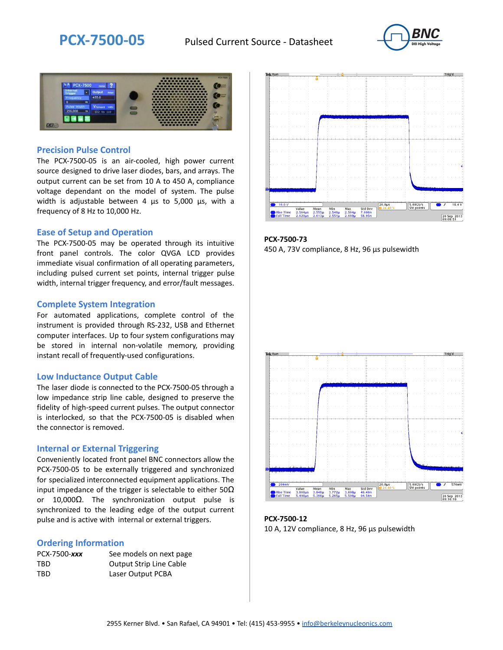



### **Precision Pulse Control**

The PCX-7500-05 is an air-cooled, high power current source designed to drive laser diodes, bars, and arrays. The output current can be set from 10 A to 450 A, compliance voltage dependant on the model of system. The pulse width is adjustable between 4 µs to 5,000 µs, with a frequency of 8 Hz to 10,000 Hz.

### **Ease of Setup and Operation**

The PCX-7500-05 may be operated through its intuitive front panel controls. The color QVGA LCD provides immediate visual confirmation of all operating parameters, including pulsed current set points, internal trigger pulse width, internal trigger frequency, and error/fault messages.

### **Complete System Integration**

For automated applications, complete control of the instrument is provided through RS-232, USB and Ethernet computer interfaces. Up to four system configurations may be stored in internal non-volatile memory, providing instant recall of frequently-used configurations.

#### **Low Inductance Output Cable**

The laser diode is connected to the PCX-7500-05 through a low impedance strip line cable, designed to preserve the fidelity of high-speed current pulses. The output connector is interlocked, so that the PCX-7500-05 is disabled when the connector is removed.

### **Internal or External Triggering**

Conveniently located front panel BNC connectors allow the PCX-7500-05 to be externally triggered and synchronized for specialized interconnected equipment applications. The input impedance of the trigger is selectable to either  $50\Omega$ or 10,000Ω. The synchronization output pulse is synchronized to the leading edge of the output current pulse and is active with internal or external triggers.

#### **Ordering Information**

| PCX-7500-xxx | See models on next page        |
|--------------|--------------------------------|
| TBD          | <b>Output Strip Line Cable</b> |
| TBD          | Laser Output PCBA              |



**PCX-7500-73** 450 A, 73V compliance, 8 Hz, 96 µs pulsewidth



**PCX-7500-12** 10 A, 12V compliance, 8 Hz, 96 μs pulsewidth